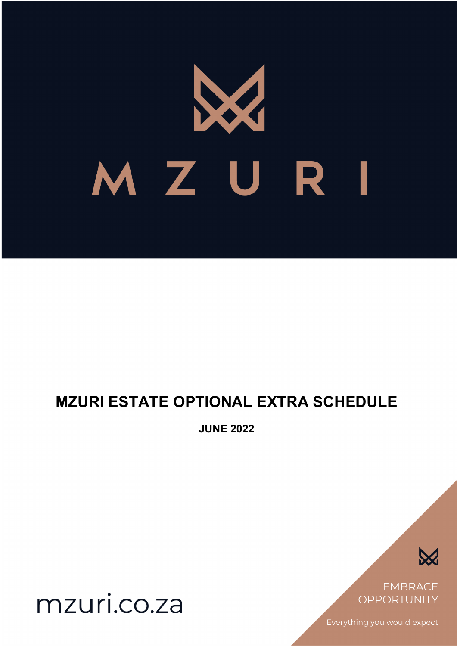# MZURI

# **MZURI ESTATE OPTIONAL EXTRA SCHEDULE**

**JUNE 2022**



**EMBRACE OPPORTUNITY** 

Everything you would expect

mzuri.co.za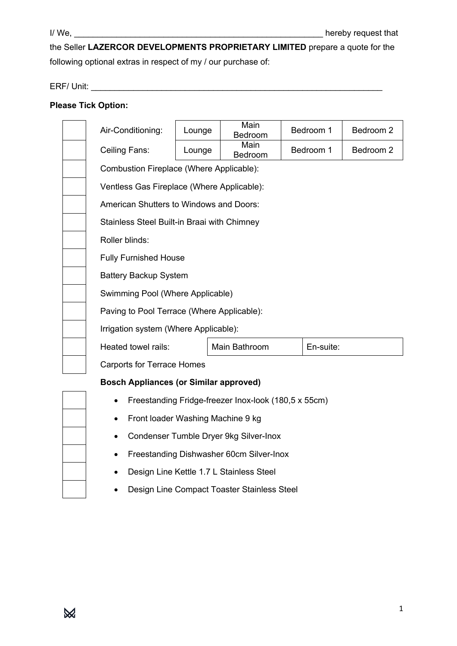the Seller **LAZERCOR DEVELOPMENTS PROPRIETARY LIMITED** prepare a quote for the following optional extras in respect of my / our purchase of:

ERF/ Unit: \_\_\_\_\_\_\_\_\_\_\_\_\_\_\_\_\_\_\_\_\_\_\_\_\_\_\_\_\_\_\_\_\_\_\_\_\_\_\_\_\_\_\_\_\_\_\_\_\_\_\_\_\_\_\_\_\_\_\_\_\_\_

## **Please Tick Option:**

| Air-Conditioning:                                    | Lounge                                   | Main<br>Bedroom | Bedroom 1 | Bedroom 2 |  |
|------------------------------------------------------|------------------------------------------|-----------------|-----------|-----------|--|
| Ceiling Fans:                                        | Lounge                                   | Main<br>Bedroom | Bedroom 1 | Bedroom 2 |  |
|                                                      | Combustion Fireplace (Where Applicable): |                 |           |           |  |
| Ventless Gas Fireplace (Where Applicable):           |                                          |                 |           |           |  |
| American Shutters to Windows and Doors:              |                                          |                 |           |           |  |
| Stainless Steel Built-in Braai with Chimney          |                                          |                 |           |           |  |
| Roller blinds:                                       |                                          |                 |           |           |  |
| <b>Fully Furnished House</b>                         |                                          |                 |           |           |  |
| <b>Battery Backup System</b>                         |                                          |                 |           |           |  |
| Swimming Pool (Where Applicable)                     |                                          |                 |           |           |  |
| Paving to Pool Terrace (Where Applicable):           |                                          |                 |           |           |  |
| Irrigation system (Where Applicable):                |                                          |                 |           |           |  |
| Heated towel rails:                                  |                                          | Main Bathroom   | En-suite: |           |  |
| <b>Carports for Terrace Homes</b>                    |                                          |                 |           |           |  |
| <b>Bosch Appliances (or Similar approved)</b>        |                                          |                 |           |           |  |
| Freestanding Fridge-freezer Inox-look (180,5 x 55cm) |                                          |                 |           |           |  |
| Front loader Washing Machine 9 kg                    |                                          |                 |           |           |  |
| Condenser Tumble Dryer 9kg Silver-Inox               |                                          |                 |           |           |  |
|                                                      |                                          |                 |           |           |  |

- Design Line Kettle 1.7 L Stainless Steel
- Design Line Compact Toaster Stainless Steel